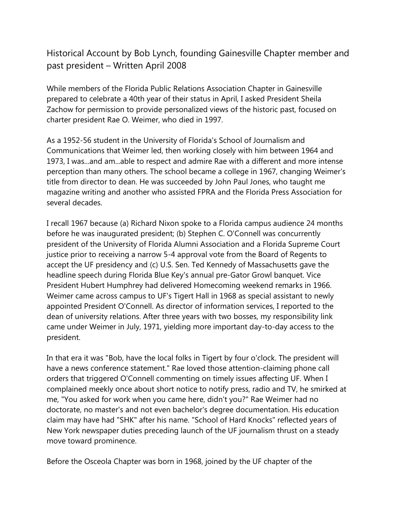Historical Account by Bob Lynch, founding Gainesville Chapter member and past president – Written April 2008

While members of the Florida Public Relations Association Chapter in Gainesville prepared to celebrate a 40th year of their status in April, I asked President Sheila Zachow for permission to provide personalized views of the historic past, focused on charter president Rae O. Weimer, who died in 1997.

As a 1952-56 student in the University of Florida's School of Journalism and Communications that Weimer led, then working closely with him between 1964 and 1973, I was...and am...able to respect and admire Rae with a different and more intense perception than many others. The school became a college in 1967, changing Weimer's title from director to dean. He was succeeded by John Paul Jones, who taught me magazine writing and another who assisted FPRA and the Florida Press Association for several decades.

I recall 1967 because (a) Richard Nixon spoke to a Florida campus audience 24 months before he was inaugurated president; (b) Stephen C. O'Connell was concurrently president of the University of Florida Alumni Association and a Florida Supreme Court justice prior to receiving a narrow 5-4 approval vote from the Board of Regents to accept the UF presidency and (c) U.S. Sen. Ted Kennedy of Massachusetts gave the headline speech during Florida Blue Key's annual pre-Gator Growl banquet. Vice President Hubert Humphrey had delivered Homecoming weekend remarks in 1966. Weimer came across campus to UF's Tigert Hall in 1968 as special assistant to newly appointed President O'Connell. As director of information services, I reported to the dean of university relations. After three years with two bosses, my responsibility link came under Weimer in July, 1971, yielding more important day-to-day access to the president.

In that era it was "Bob, have the local folks in Tigert by four o'clock. The president will have a news conference statement." Rae loved those attention-claiming phone call orders that triggered O'Connell commenting on timely issues affecting UF. When I complained meekly once about short notice to notify press, radio and TV, he smirked at me, "You asked for work when you came here, didn't you?" Rae Weimer had no doctorate, no master's and not even bachelor's degree documentation. His education claim may have had "SHK" after his name. "School of Hard Knocks" reflected years of New York newspaper duties preceding launch of the UF journalism thrust on a steady move toward prominence.

Before the Osceola Chapter was born in 1968, joined by the UF chapter of the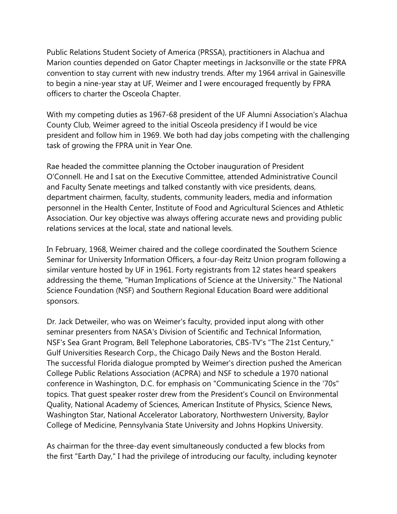Public Relations Student Society of America (PRSSA), practitioners in Alachua and Marion counties depended on Gator Chapter meetings in Jacksonville or the state FPRA convention to stay current with new industry trends. After my 1964 arrival in Gainesville to begin a nine-year stay at UF, Weimer and I were encouraged frequently by FPRA officers to charter the Osceola Chapter.

With my competing duties as 1967-68 president of the UF Alumni Association's Alachua County Club, Weimer agreed to the initial Osceola presidency if I would be vice president and follow him in 1969. We both had day jobs competing with the challenging task of growing the FPRA unit in Year One.

Rae headed the committee planning the October inauguration of President O'Connell. He and I sat on the Executive Committee, attended Administrative Council and Faculty Senate meetings and talked constantly with vice presidents, deans, department chairmen, faculty, students, community leaders, media and information personnel in the Health Center, Institute of Food and Agricultural Sciences and Athletic Association. Our key objective was always offering accurate news and providing public relations services at the local, state and national levels.

In February, 1968, Weimer chaired and the college coordinated the Southern Science Seminar for University Information Officers, a four-day Reitz Union program following a similar venture hosted by UF in 1961. Forty registrants from 12 states heard speakers addressing the theme, "Human Implications of Science at the University." The National Science Foundation (NSF) and Southern Regional Education Board were additional sponsors.

Dr. Jack Detweiler, who was on Weimer's faculty, provided input along with other seminar presenters from NASA's Division of Scientific and Technical Information, NSF's Sea Grant Program, Bell Telephone Laboratories, CBS-TV's "The 21st Century," Gulf Universities Research Corp., the Chicago Daily News and the Boston Herald. The successful Florida dialogue prompted by Weimer's direction pushed the American College Public Relations Association (ACPRA) and NSF to schedule a 1970 national conference in Washington, D.C. for emphasis on "Communicating Science in the '70s" topics. That guest speaker roster drew from the President's Council on Environmental Quality, National Academy of Sciences, American Institute of Physics, Science News, Washington Star, National Accelerator Laboratory, Northwestern University, Baylor College of Medicine, Pennsylvania State University and Johns Hopkins University.

As chairman for the three-day event simultaneously conducted a few blocks from the first "Earth Day," I had the privilege of introducing our faculty, including keynoter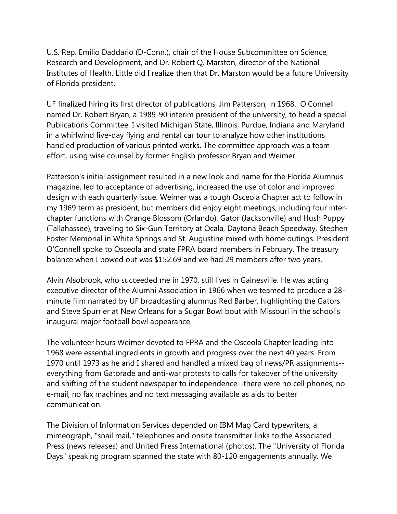U.S. Rep. Emilio Daddario (D-Conn.), chair of the House Subcommittee on Science, Research and Development, and Dr. Robert Q. Marston, director of the National Institutes of Health. Little did I realize then that Dr. Marston would be a future University of Florida president.

UF finalized hiring its first director of publications, Jim Patterson, in 1968. O'Connell named Dr. Robert Bryan, a 1989-90 interim president of the university, to head a special Publications Committee. I visited Michigan State, Illinois, Purdue, Indiana and Maryland in a whirlwind five-day flying and rental car tour to analyze how other institutions handled production of various printed works. The committee approach was a team effort, using wise counsel by former English professor Bryan and Weimer.

Patterson's initial assignment resulted in a new look and name for the Florida Alumnus magazine, led to acceptance of advertising, increased the use of color and improved design with each quarterly issue. Weimer was a tough Osceola Chapter act to follow in my 1969 term as president, but members did enjoy eight meetings, including four interchapter functions with Orange Blossom (Orlando), Gator (Jacksonville) and Hush Puppy (Tallahassee), traveling to Six-Gun Territory at Ocala, Daytona Beach Speedway, Stephen Foster Memorial in White Springs and St. Augustine mixed with home outings. President O'Connell spoke to Osceola and state FPRA board members in February. The treasury balance when I bowed out was \$152.69 and we had 29 members after two years.

Alvin Alsobrook, who succeeded me in 1970, still lives in Gainesville. He was acting executive director of the Alumni Association in 1966 when we teamed to produce a 28 minute film narrated by UF broadcasting alumnus Red Barber, highlighting the Gators and Steve Spurrier at New Orleans for a Sugar Bowl bout with Missouri in the school's inaugural major football bowl appearance.

The volunteer hours Weimer devoted to FPRA and the Osceola Chapter leading into 1968 were essential ingredients in growth and progress over the next 40 years. From 1970 until 1973 as he and I shared and handled a mixed bag of news/PR assignments- everything from Gatorade and anti-war protests to calls for takeover of the university and shifting of the student newspaper to independence--there were no cell phones, no e-mail, no fax machines and no text messaging available as aids to better communication.

The Division of Information Services depended on IBM Mag Card typewriters, a mimeograph, "snail mail," telephones and onsite transmitter links to the Associated Press (news releases) and United Press International (photos). The "University of Florida Days" speaking program spanned the state with 80-120 engagements annually. We